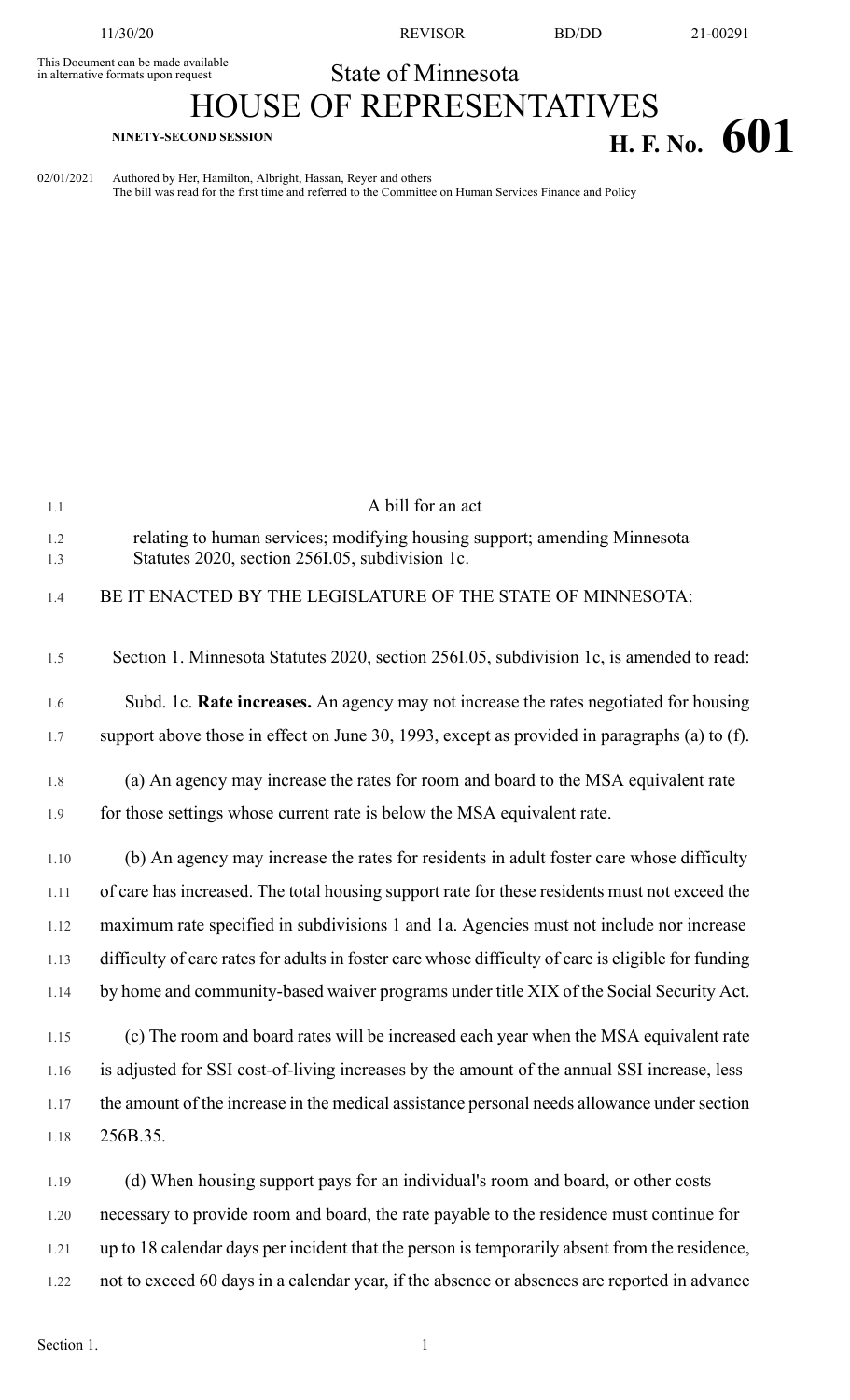11/30/20 REVISOR BD/DD 21-00291

## This Document can be made available<br>in alternative formats upon request **State of Minnesota**

## HOUSE OF REPRESENTATIVES **H. F. NO.**  $601$

02/01/2021 Authored by Her, Hamilton, Albright, Hassan, Reyer and others The bill was read for the first time and referred to the Committee on Human Services Finance and Policy

| 1.1        | A bill for an act                                                                                                            |
|------------|------------------------------------------------------------------------------------------------------------------------------|
| 1.2<br>1.3 | relating to human services; modifying housing support; amending Minnesota<br>Statutes 2020, section 256I.05, subdivision 1c. |
| 1.4        | BE IT ENACTED BY THE LEGISLATURE OF THE STATE OF MINNESOTA:                                                                  |
| 1.5        | Section 1. Minnesota Statutes 2020, section 256I.05, subdivision 1c, is amended to read:                                     |
| 1.6        | Subd. 1c. Rate increases. An agency may not increase the rates negotiated for housing                                        |
| 1.7        | support above those in effect on June 30, 1993, except as provided in paragraphs (a) to (f).                                 |
| 1.8        | (a) An agency may increase the rates for room and board to the MSA equivalent rate                                           |
| 1.9        | for those settings whose current rate is below the MSA equivalent rate.                                                      |
| 1.10       | (b) An agency may increase the rates for residents in adult foster care whose difficulty                                     |
| 1.11       | of care has increased. The total housing support rate for these residents must not exceed the                                |
| 1.12       | maximum rate specified in subdivisions 1 and 1a. Agencies must not include nor increase                                      |
| 1.13       | difficulty of care rates for adults in foster care whose difficulty of care is eligible for funding                          |
| 1.14       | by home and community-based waiver programs under title XIX of the Social Security Act.                                      |
| 1.15       | (c) The room and board rates will be increased each year when the MSA equivalent rate                                        |
| 1.16       | is adjusted for SSI cost-of-living increases by the amount of the annual SSI increase, less                                  |
| 1.17       | the amount of the increase in the medical assistance personal needs allowance under section                                  |
| 1.18       | 256B.35.                                                                                                                     |
| 1.19       | (d) When housing support pays for an individual's room and board, or other costs                                             |
| 1.20       | necessary to provide room and board, the rate payable to the residence must continue for                                     |
| 1.21       | up to 18 calendar days per incident that the person is temporarily absent from the residence,                                |